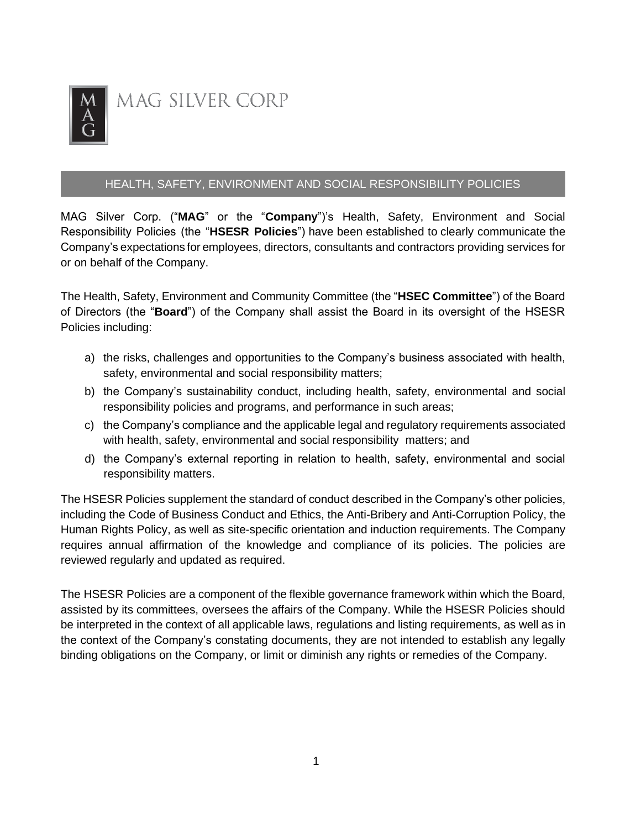

### HEALTH, SAFETY, ENVIRONMENT AND SOCIAL RESPONSIBILITY POLICIES

MAG Silver Corp. ("**MAG**" or the "**Company**")'s Health, Safety, Environment and Social Responsibility Policies (the "**HSESR Policies**") have been established to clearly communicate the Company's expectations for employees, directors, consultants and contractors providing services for or on behalf of the Company.

The Health, Safety, Environment and Community Committee (the "**HSEC Committee**") of the Board of Directors (the "**Board**") of the Company shall assist the Board in its oversight of the HSESR Policies including:

- a) the risks, challenges and opportunities to the Company's business associated with health, safety, environmental and social responsibility matters;
- b) the Company's sustainability conduct, including health, safety, environmental and social responsibility policies and programs, and performance in such areas;
- c) the Company's compliance and the applicable legal and regulatory requirements associated with health, safety, environmental and social responsibility matters; and
- d) the Company's external reporting in relation to health, safety, environmental and social responsibility matters.

The HSESR Policies supplement the standard of conduct described in the Company's other policies, including the Code of Business Conduct and Ethics, the Anti-Bribery and Anti-Corruption Policy, the Human Rights Policy, as well as site-specific orientation and induction requirements. The Company requires annual affirmation of the knowledge and compliance of its policies. The policies are reviewed regularly and updated as required.

The HSESR Policies are a component of the flexible governance framework within which the Board, assisted by its committees, oversees the affairs of the Company. While the HSESR Policies should be interpreted in the context of all applicable laws, regulations and listing requirements, as well as in the context of the Company's constating documents, they are not intended to establish any legally binding obligations on the Company, or limit or diminish any rights or remedies of the Company.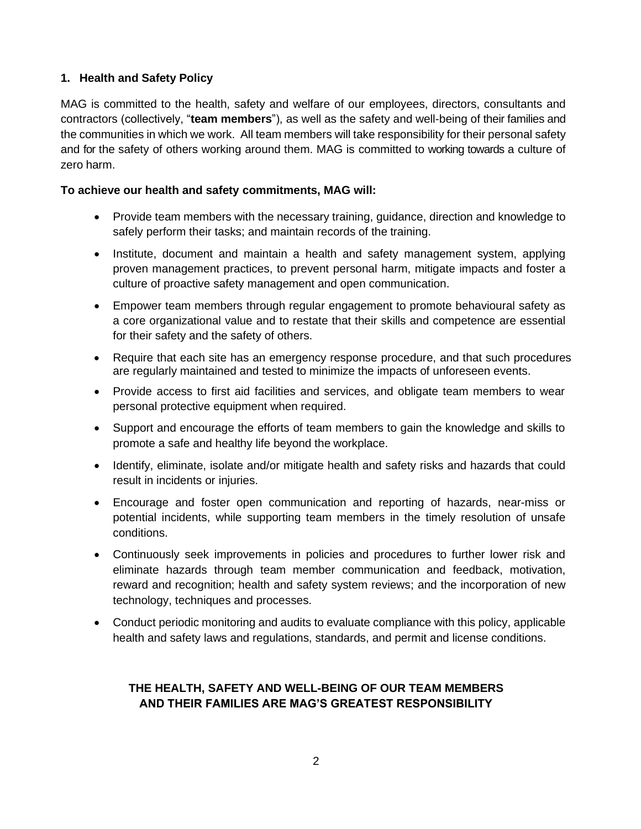### **1. Health and Safety Policy**

MAG is committed to the health, safety and welfare of our employees, directors, consultants and contractors (collectively, "**team members**"), as well as the safety and well-being of their families and the communities in which we work. All team members will take responsibility for their personal safety and for the safety of others working around them. MAG is committed to working towards a culture of zero harm.

#### **To achieve our health and safety commitments, MAG will:**

- Provide team members with the necessary training, guidance, direction and knowledge to safely perform their tasks; and maintain records of the training.
- Institute, document and maintain a health and safety management system, applying proven management practices, to prevent personal harm, mitigate impacts and foster a culture of proactive safety management and open communication.
- Empower team members through regular engagement to promote behavioural safety as a core organizational value and to restate that their skills and competence are essential for their safety and the safety of others.
- Require that each site has an emergency response procedure, and that such procedures are regularly maintained and tested to minimize the impacts of unforeseen events.
- Provide access to first aid facilities and services, and obligate team members to wear personal protective equipment when required.
- Support and encourage the efforts of team members to gain the knowledge and skills to promote a safe and healthy life beyond the workplace.
- Identify, eliminate, isolate and/or mitigate health and safety risks and hazards that could result in incidents or injuries.
- Encourage and foster open communication and reporting of hazards, near-miss or potential incidents, while supporting team members in the timely resolution of unsafe conditions.
- Continuously seek improvements in policies and procedures to further lower risk and eliminate hazards through team member communication and feedback, motivation, reward and recognition; health and safety system reviews; and the incorporation of new technology, techniques and processes.
- Conduct periodic monitoring and audits to evaluate compliance with this policy, applicable health and safety laws and regulations, standards, and permit and license conditions.

# **THE HEALTH, SAFETY AND WELL-BEING OF OUR TEAM MEMBERS AND THEIR FAMILIES ARE MAG'S GREATEST RESPONSIBILITY**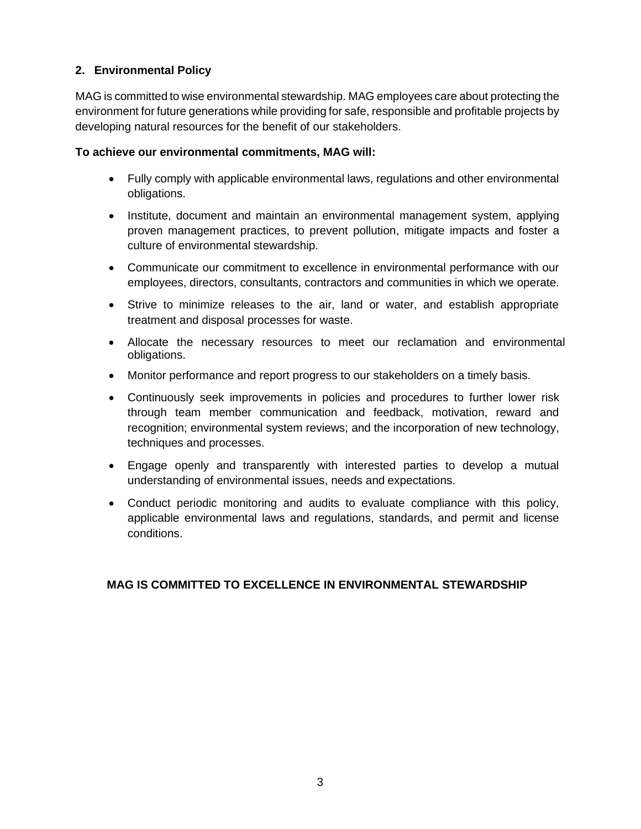## **2. Environmental Policy**

MAG is committed to wise environmental stewardship. MAG employees care about protecting the environment for future generations while providing for safe, responsible and profitable projects by developing natural resources for the benefit of our stakeholders.

#### **To achieve our environmental commitments, MAG will:**

- Fully comply with applicable environmental laws, regulations and other environmental obligations.
- Institute, document and maintain an environmental management system, applying proven management practices, to prevent pollution, mitigate impacts and foster a culture of environmental stewardship.
- Communicate our commitment to excellence in environmental performance with our employees, directors, consultants, contractors and communities in which we operate.
- Strive to minimize releases to the air, land or water, and establish appropriate treatment and disposal processes for waste.
- Allocate the necessary resources to meet our reclamation and environmental obligations.
- Monitor performance and report progress to our stakeholders on a timely basis.
- Continuously seek improvements in policies and procedures to further lower risk through team member communication and feedback, motivation, reward and recognition; environmental system reviews; and the incorporation of new technology, techniques and processes.
- Engage openly and transparently with interested parties to develop a mutual understanding of environmental issues, needs and expectations.
- Conduct periodic monitoring and audits to evaluate compliance with this policy, applicable environmental laws and regulations, standards, and permit and license conditions.

## **MAG IS COMMITTED TO EXCELLENCE IN ENVIRONMENTAL STEWARDSHIP**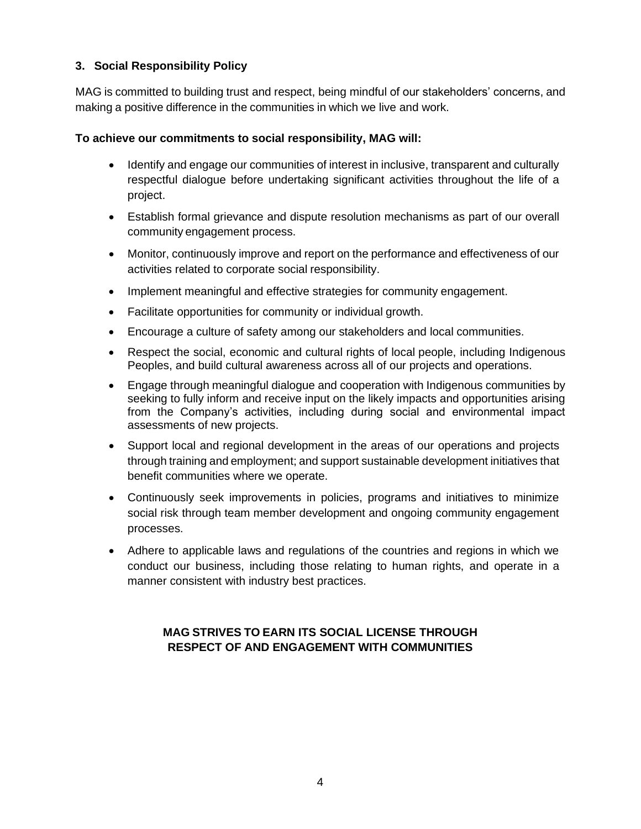## **3. Social Responsibility Policy**

MAG is committed to building trust and respect, being mindful of our stakeholders' concerns, and making a positive difference in the communities in which we live and work.

### **To achieve our commitments to social responsibility, MAG will:**

- Identify and engage our communities of interest in inclusive, transparent and culturally respectful dialogue before undertaking significant activities throughout the life of a project.
- Establish formal grievance and dispute resolution mechanisms as part of our overall community engagement process.
- Monitor, continuously improve and report on the performance and effectiveness of our activities related to corporate social responsibility.
- Implement meaningful and effective strategies for community engagement.
- Facilitate opportunities for community or individual growth.
- Encourage a culture of safety among our stakeholders and local communities.
- Respect the social, economic and cultural rights of local people, including Indigenous Peoples, and build cultural awareness across all of our projects and operations.
- Engage through meaningful dialogue and cooperation with Indigenous communities by seeking to fully inform and receive input on the likely impacts and opportunities arising from the Company's activities, including during social and environmental impact assessments of new projects.
- Support local and regional development in the areas of our operations and projects through training and employment; and support sustainable development initiatives that benefit communities where we operate.
- Continuously seek improvements in policies, programs and initiatives to minimize social risk through team member development and ongoing community engagement processes.
- Adhere to applicable laws and regulations of the countries and regions in which we conduct our business, including those relating to human rights, and operate in a manner consistent with industry best practices.

# **MAG STRIVES TO EARN ITS SOCIAL LICENSE THROUGH RESPECT OF AND ENGAGEMENT WITH COMMUNITIES**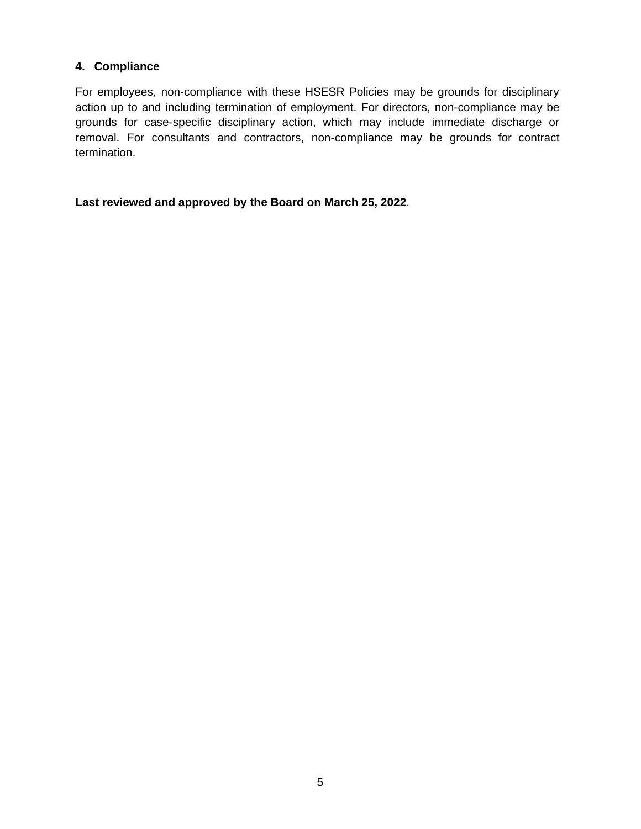#### **4. Compliance**

For employees, non-compliance with these HSESR Policies may be grounds for disciplinary action up to and including termination of employment. For directors, non-compliance may be grounds for case-specific disciplinary action, which may include immediate discharge or removal. For consultants and contractors, non-compliance may be grounds for contract termination.

**Last reviewed and approved by the Board on March 25, 2022**.